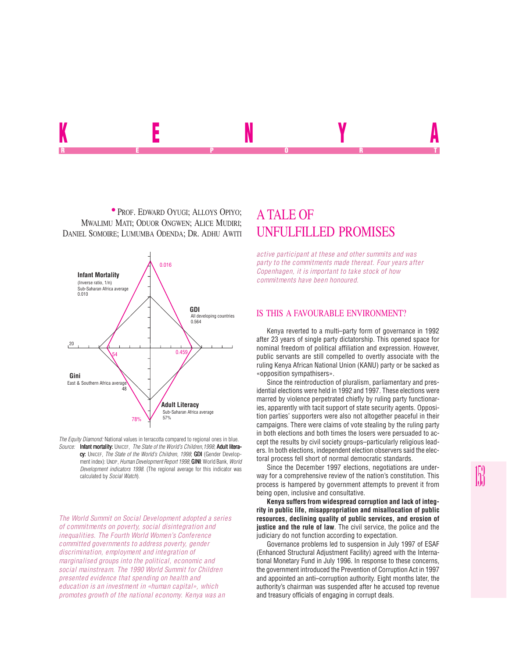

**• PROF. EDWARD OYUGI; ALLOYS OPIYO;** MWALIMU MATI; ODUOR ONGWEN; ALICE MUDIRI; DANIEL SOMOIRE; LUMUMBA ODENDA; DR. ADHU AWITI UNFULFILLED PROMISES



*The Equity Diamond:* National values in terracotta compared to regional ones in blue. *Source:* Infant mortality: UNICEF, *The State of the World's Children,1998*; Adult literacy: UNICEF, *The State of the World's Children, 1998*; **GDI** (Gender Development index): UNDP, *Human Development Report 1998*; **GINI:** World Bank, *World Development indicators 1998*. (The regional average for this indicator was calculated by *Social Watch*).

*The World Summit on Social Development adopted a series of commitments on poverty, social disintegration and inequalities. The Fourth World Women's Conference committed governments to address poverty, gender discrimination, employment and integration of marginalised groups into the political, economic and social mainstream. The 1990 World Summit for Children presented evidence that spending on health and education is an investment in «human capital», which promotes growth of the national economy. Kenya was an*

# A TALE OF

*active participant at these and other summits and was party to the commitments made thereat. Four years after Copenhagen, it is important to take stock of how commitments have been honoured.*

## IS THIS A FAVOURABLE ENVIRONMENT?

Kenya reverted to a multi–party form of governance in 1992 after 23 years of single party dictatorship. This opened space for nominal freedom of political affiliation and expression. However, public servants are still compelled to overtly associate with the ruling Kenya African National Union (KANU) party or be sacked as «opposition sympathisers».

Since the reintroduction of pluralism, parliamentary and presidential elections were held in 1992 and 1997. These elections were marred by violence perpetrated chiefly by ruling party functionaries, apparently with tacit support of state security agents. Opposition parties' supporters were also not altogether peaceful in their campaigns. There were claims of vote stealing by the ruling party in both elections and both times the losers were persuaded to accept the results by civil society groups–particularly religious leaders. In both elections, independent election observers said the electoral process fell short of normal democratic standards.

Since the December 1997 elections, negotiations are underway for a comprehensive review of the nation's constitution. This process is hampered by government attempts to prevent it from being open, inclusive and consultative.

**Kenya suffers from widespread corruption and lack of integrity in public life, misappropriation and misallocation of public resources, declining quality of public services, and erosion of justice and the rule of law**. The civil service, the police and the judiciary do not function according to expectation.

Governance problems led to suspension in July 1997 of ESAF (Enhanced Structural Adjustment Facility) agreed with the International Monetary Fund in July 1996. In response to these concerns, the government introduced the Prevention of Corruption Act in 1997 and appointed an anti–corruption authority. Eight months later, the authority's chairman was suspended after he accused top revenue and treasury officials of engaging in corrupt deals.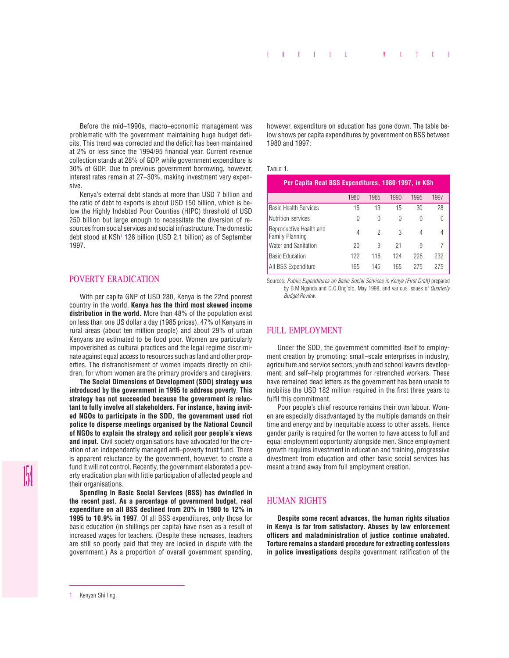Before the mid–1990s, macro–economic management was problematic with the government maintaining huge budget deficits. This trend was corrected and the deficit has been maintained at 2% or less since the 1994/95 financial year. Current revenue collection stands at 28% of GDP, while government expenditure is 30% of GDP. Due to previous government borrowing, however, interest rates remain at 27–30%, making investment very expensive.

Kenya's external debt stands at more than USD 7 billion and the ratio of debt to exports is about USD 150 billion, which is below the Highly Indebted Poor Counties (HIPC) threshold of USD 250 billion but large enough to necessitate the diversion of resources from social services and social infrastructure. The domestic debt stood at KSh1 128 billion (USD 2.1 billion) as of September 1997.

## POVERTY ERADICATION

With per capita GNP of USD 280, Kenya is the 22nd poorest country in the world. **Kenya has the third most skewed income distribution in the world.** More than 48% of the population exist on less than one US dollar a day (1985 prices). 47% of Kenyans in rural areas (about ten million people) and about 29% of urban Kenyans are estimated to be food poor. Women are particularly impoverished as cultural practices and the legal regime discriminate against equal access to resources such as land and other properties. The disfranchisement of women impacts directly on children, for whom women are the primary providers and caregivers.

**The Social Dimensions of Development (SDD) strategy was introduced by the government in 1995 to address poverty**. **This strategy has not succeeded because the government is reluctant to fully involve all stakeholders. For instance, having invited NGOs to participate in the SDD, the government used riot police to disperse meetings organised by the National Council of NGOs to explain the strategy and solicit poor people's views and input.** Civil society organisations have advocated for the creation of an independently managed anti–poverty trust fund. There is apparent reluctance by the government, however, to create a fund it will not control. Recently, the government elaborated a poverty eradication plan with little participation of affected people and their organisations.

**Spending in Basic Social Services (BSS) has dwindled in the recent past. As a percentage of government budget, real expenditure on all BSS declined from 20% in 1980 to 12% in 1995 to 10.9% in 1997**. Of all BSS expenditures, only those for basic education (in shillings per capita) have risen as a result of increased wages for teachers. (Despite these increases, teachers are still so poorly paid that they are locked in dispute with the government.) As a proportion of overall government spending,

however, expenditure on education has gone down. The table below shows per capita expenditures by government on BSS between 1980 and 1997:

#### TABLE 1.

| Per Capita Real BSS Expenditures, 1980-1997, in KSh |      |      |      |      |      |
|-----------------------------------------------------|------|------|------|------|------|
|                                                     | 1980 | 1985 | 1990 | 1995 | 1997 |
| <b>Basic Health Services</b>                        | 16   | 13   | 15   | 30   | 28   |
| Nutrition services                                  | 0    | 0    | 0    | 0    |      |
| Reproductive Health and<br><b>Family Planning</b>   | 4    | 2    | 3    | 4    | 4    |
| Water and Sanitation                                | 20   | 9    | 21   | 9    |      |
| <b>Basic Education</b>                              | 122  | 118  | 124  | 228  | 232  |
| All BSS Expenditure                                 | 165  | 145  | 165  | 275  | 275  |

Sources: *Public Expenditures on Basic Social Services in Kenya (First Draft)* prepared by B.M.Nganda and D.O.Ong'olo, May 1998, and various issues of *Quarterly Budget Review*.

## FULL EMPLOYMENT

Under the SDD, the government committed itself to employment creation by promoting: small–scale enterprises in industry, agriculture and service sectors; youth and school leavers development; and self–help programmes for retrenched workers. These have remained dead letters as the government has been unable to mobilise the USD 182 million required in the first three years to fulfil this commitment.

Poor people's chief resource remains their own labour. Women are especially disadvantaged by the multiple demands on their time and energy and by inequitable access to other assets. Hence gender parity is required for the women to have access to full and equal employment opportunity alongside men. Since employment growth requires investment in education and training, progressive divestment from education and other basic social services has meant a trend away from full employment creation.

### HUMAN RIGHTS

**Despite some recent advances, the human rights situation in Kenya is far from satisfactory. Abuses by law enforcement officers and maladministration of justice continue unabated. Torture remains a standard procedure for extracting confessions in police investigations** despite government ratification of the

<sup>1</sup> Kenyan Shilling.